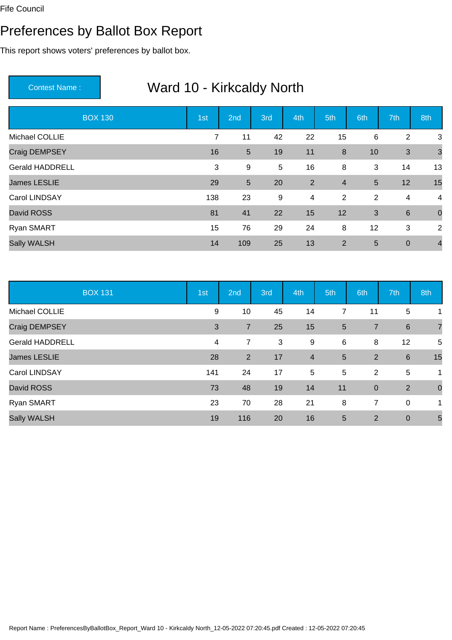#### Preferences by Ballot Box Report

This report shows voters' preferences by ballot box.

| <b>BOX 130</b>         | 1st            | 2nd            | 3rd | 4th            | 5th            | 6th            | 7th             | 8th            |
|------------------------|----------------|----------------|-----|----------------|----------------|----------------|-----------------|----------------|
| Michael COLLIE         | $\overline{7}$ | 11             | 42  | 22             | 15             | $\,6$          | 2               | 3              |
| Craig DEMPSEY          | 16             | $5\phantom{.}$ | 19  | 11             | 8              | 10             | 3               | $\mathbf{3}$   |
| <b>Gerald HADDRELL</b> | 3              | 9              | 5   | 16             | 8              | 3              | 14              | 13             |
| <b>James LESLIE</b>    | 29             | $5\phantom{.}$ | 20  | 2              | $\overline{4}$ | 5              | 12              | 15             |
| Carol LINDSAY          | 138            | 23             | 9   | $\overline{4}$ | $\overline{2}$ | $\overline{2}$ | 4               | $\overline{4}$ |
| David ROSS             | 81             | 41             | 22  | 15             | 12             | 3              | $6\phantom{1}6$ | $\overline{0}$ |
| Ryan SMART             | 15             | 76             | 29  | 24             | 8              | 12             | 3               | 2              |
| <b>Sally WALSH</b>     | 14             | 109            | 25  | 13             | 2              | 5              | $\mathbf 0$     | $\overline{4}$ |

|                        | <b>BOX 131</b> | 1st | 2nd            | 3rd | 4th                     | 5th            | 6th            | 7th             | 8th            |
|------------------------|----------------|-----|----------------|-----|-------------------------|----------------|----------------|-----------------|----------------|
| Michael COLLIE         |                | 9   | 10             | 45  | 14                      | $\overline{7}$ | 11             | 5               | 1              |
| Craig DEMPSEY          |                | 3   | $\overline{7}$ | 25  | 15                      | $5\phantom{1}$ | $\overline{7}$ | 6               | $\overline{7}$ |
| <b>Gerald HADDRELL</b> |                | 4   | $\overline{7}$ | 3   | 9                       | 6              | 8              | 12              | 5              |
| <b>James LESLIE</b>    |                | 28  | $\overline{2}$ | 17  | $\overline{\mathbf{4}}$ | $5\phantom{1}$ | $\overline{2}$ | $6\phantom{1}6$ | 15             |
| Carol LINDSAY          |                | 141 | 24             | 17  | $\overline{5}$          | 5              | $\overline{2}$ | 5               | $\mathbf{1}$   |
| David ROSS             |                | 73  | 48             | 19  | 14                      | 11             | $\mathbf 0$    | $\overline{2}$  | $\mathbf 0$    |
| Ryan SMART             |                | 23  | 70             | 28  | 21                      | 8              | 7              | $\overline{0}$  | $\mathbf{1}$   |
| Sally WALSH            |                | 19  | 116            | 20  | 16                      | $5\phantom{1}$ | $\overline{2}$ | $\overline{0}$  | 5              |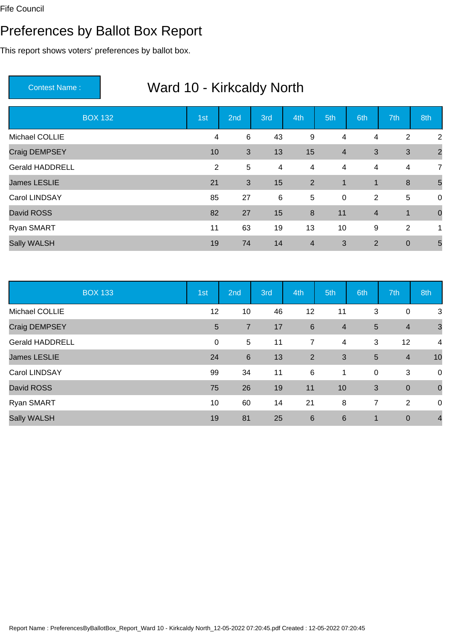#### Preferences by Ballot Box Report

This report shows voters' preferences by ballot box.

| <b>BOX 132</b>         | 1st | 2nd          | 3rd | 4th              | 5th            | 6th            | 7th          | 8th            |
|------------------------|-----|--------------|-----|------------------|----------------|----------------|--------------|----------------|
| Michael COLLIE         | 4   | 6            | 43  | $9\,$            | 4              | $\overline{4}$ | 2            | $\overline{2}$ |
| Craig DEMPSEY          | 10  | $\mathbf{3}$ | 13  | 15               | $\overline{4}$ | 3              | $\mathbf{3}$ | $\overline{2}$ |
| <b>Gerald HADDRELL</b> | 2   | 5            | 4   | $\overline{4}$   | 4              | 4              | 4            | $\overline{7}$ |
| <b>James LESLIE</b>    | 21  | $\mathbf{3}$ | 15  | 2                | $\mathbf{1}$   | $\mathbf{1}$   | 8            | 5              |
| Carol LINDSAY          | 85  | 27           | 6   | $5\phantom{.0}$  | $\mathbf 0$    | 2              | $\sqrt{5}$   | $\overline{0}$ |
| David ROSS             | 82  | 27           | 15  | $\boldsymbol{8}$ | 11             | $\overline{4}$ | $\mathbf{1}$ | $\overline{0}$ |
| Ryan SMART             | 11  | 63           | 19  | 13               | 10             | 9              | 2            | 1              |
| Sally WALSH            | 19  | 74           | 14  | $\overline{4}$   | 3              | $\overline{2}$ | $\mathbf 0$  | 5              |

|                        | <b>BOX 133</b> | 1st            | 2nd             | 3rd | 4th            | 5th            | 6th         | 7th            | 8th            |
|------------------------|----------------|----------------|-----------------|-----|----------------|----------------|-------------|----------------|----------------|
| Michael COLLIE         |                | 12             | 10              | 46  | 12             | 11             | 3           | $\mathbf 0$    | 3              |
| Craig DEMPSEY          |                | $5\phantom{1}$ | $\overline{7}$  | 17  | 6              | $\overline{4}$ | 5           | $\overline{4}$ | $\mathbf{3}$   |
| <b>Gerald HADDRELL</b> |                | $\mathbf 0$    | 5               | 11  | 7              | 4              | 3           | 12             | $\overline{4}$ |
| <b>James LESLIE</b>    |                | 24             | $6\phantom{1}6$ | 13  | $\overline{2}$ | 3              | 5           | $\overline{4}$ | 10             |
| Carol LINDSAY          |                | 99             | 34              | 11  | 6              | 1              | $\mathbf 0$ | 3              | 0              |
| David ROSS             |                | 75             | 26              | 19  | 11             | 10             | 3           | $\mathbf 0$    | $\mathbf 0$    |
| Ryan SMART             |                | 10             | 60              | 14  | 21             | 8              | 7           | 2              | 0              |
| Sally WALSH            |                | 19             | 81              | 25  | 6              | 6              | $\mathbf 1$ | $\overline{0}$ | $\overline{4}$ |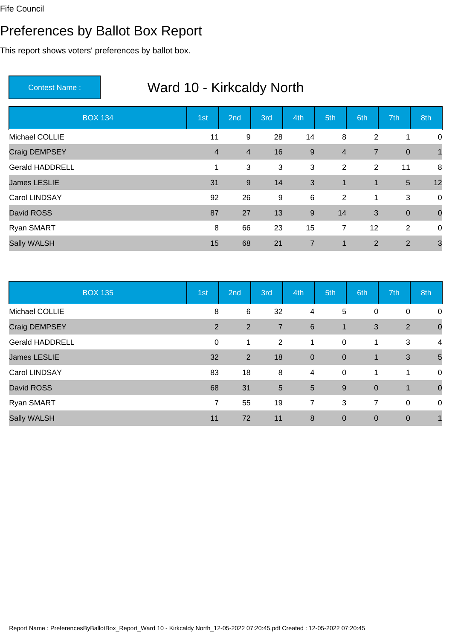#### Preferences by Ballot Box Report

This report shows voters' preferences by ballot box.

|                        | <b>BOX 134</b> | 1st            | 2nd            | 3rd | 4th            | 5th            | 6th            | 7th            | 8th          |
|------------------------|----------------|----------------|----------------|-----|----------------|----------------|----------------|----------------|--------------|
| Michael COLLIE         |                | 11             | $9\,$          | 28  | 14             | 8              | $\overline{2}$ | 1              | 0            |
| Craig DEMPSEY          |                | $\overline{4}$ | $\overline{4}$ | 16  | 9              | $\overline{4}$ | $\overline{7}$ | $\overline{0}$ | $\mathbf{1}$ |
| <b>Gerald HADDRELL</b> |                | 1              | 3              | 3   | 3              | $\overline{2}$ | $\overline{2}$ | 11             | 8            |
| <b>James LESLIE</b>    |                | 31             | 9              | 14  | $\mathbf{3}$   | $\overline{1}$ | $\mathbf{1}$   | $\overline{5}$ | 12           |
| Carol LINDSAY          |                | 92             | 26             | 9   | 6              | 2              | 1              | 3              | $\mathsf 0$  |
| David ROSS             |                | 87             | 27             | 13  | 9              | 14             | 3              | $\mathbf 0$    | $\mathbf 0$  |
| Ryan SMART             |                | 8              | 66             | 23  | 15             | $\overline{7}$ | 12             | 2              | 0            |
| Sally WALSH            |                | 15             | 68             | 21  | $\overline{7}$ | $\mathbf 1$    | $\overline{2}$ | $\overline{2}$ | $\mathbf{3}$ |

| <b>BOX 135</b>         | 1st            | 2nd            | 3rd             | 4th             | 5th            | 6th              | 7th          | 8th            |
|------------------------|----------------|----------------|-----------------|-----------------|----------------|------------------|--------------|----------------|
| Michael COLLIE         | 8              | 6              | 32              | 4               | 5              | $\mathbf 0$      | $\mathbf 0$  | $\mathbf 0$    |
| Craig DEMPSEY          | 2              | $\overline{2}$ | $\overline{7}$  | $6\phantom{1}6$ | $\mathbf 1$    | 3                | 2            | $\overline{0}$ |
| <b>Gerald HADDRELL</b> | 0              | 1              | 2               | 1               | $\overline{0}$ | 1                | 3            | $\overline{4}$ |
| <b>James LESLIE</b>    | 32             | $\overline{2}$ | 18              | $\mathbf 0$     | $\overline{0}$ | $\mathbf{1}$     | $\mathbf{3}$ | 5              |
| Carol LINDSAY          | 83             | 18             | 8               | $\overline{4}$  | $\mathbf 0$    | 1                | $\mathbf{1}$ | $\overline{0}$ |
| David ROSS             | 68             | 31             | $5\phantom{.0}$ | 5               | 9              | $\boldsymbol{0}$ | $\mathbf{1}$ | $\overline{0}$ |
| Ryan SMART             | $\overline{7}$ | 55             | 19              | 7               | 3              | 7                | $\mathbf 0$  | $\overline{0}$ |
| <b>Sally WALSH</b>     | 11             | 72             | 11              | 8               | $\overline{0}$ | $\overline{0}$   | $\mathbf 0$  |                |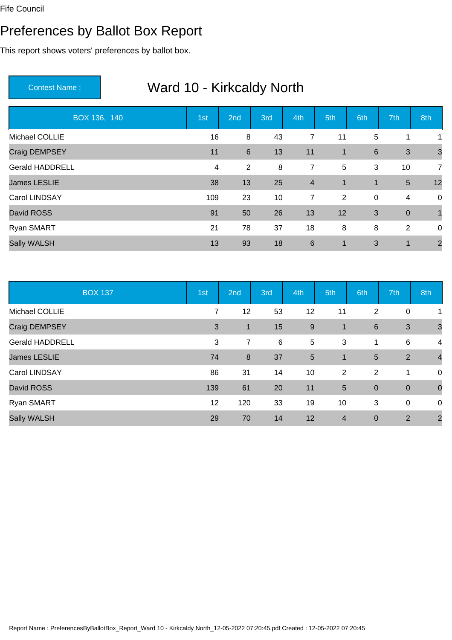#### Preferences by Ballot Box Report

This report shows voters' preferences by ballot box.

| BOX 136, 140           | 1st | 2nd             | 3rd | 4th            | 5th             | 6th         | 7th            | 8th            |
|------------------------|-----|-----------------|-----|----------------|-----------------|-------------|----------------|----------------|
| Michael COLLIE         | 16  | 8               | 43  | 7              | 11              | 5           | 1              | 1              |
| Craig DEMPSEY          | 11  | $6\phantom{1}6$ | 13  | 11             | $\mathbf{1}$    | $\,6$       | $\mathbf{3}$   | $\overline{3}$ |
| <b>Gerald HADDRELL</b> | 4   | $\overline{2}$  | 8   | 7              | $5\phantom{.0}$ | 3           | 10             | $\overline{7}$ |
| <b>James LESLIE</b>    | 38  | 13              | 25  | $\overline{4}$ | $\mathbf 1$     | 1           | $\overline{5}$ | 12             |
| Carol LINDSAY          | 109 | 23              | 10  | 7              | 2               | $\mathbf 0$ | 4              | $\mathbf 0$    |
| David ROSS             | 91  | 50              | 26  | 13             | 12              | 3           | $\mathbf 0$    |                |
| Ryan SMART             | 21  | 78              | 37  | 18             | 8               | 8           | 2              | $\mathbf 0$    |
| Sally WALSH            | 13  | 93              | 18  | 6              | 1               | 3           | 1              | $\overline{2}$ |

|                        | <b>BOX 137</b> | 1st | 2nd            | 3rd | 4th | 5th            | 6th              | 7th            | 8th            |
|------------------------|----------------|-----|----------------|-----|-----|----------------|------------------|----------------|----------------|
| Michael COLLIE         |                | 7   | 12             | 53  | 12  | 11             | 2                | $\mathbf 0$    | 1              |
| Craig DEMPSEY          |                | 3   | $\mathbf{1}$   | 15  | 9   | $\mathbf{1}$   | $6\phantom{1}6$  | 3              | $\mathbf{3}$   |
| <b>Gerald HADDRELL</b> |                | 3   | $\overline{7}$ | 6   | 5   | 3              | 1                | 6              | $\overline{4}$ |
| <b>James LESLIE</b>    |                | 74  | 8              | 37  | 5   | $\overline{1}$ | 5                | $\overline{2}$ | $\overline{4}$ |
| Carol LINDSAY          |                | 86  | 31             | 14  | 10  | $\overline{2}$ | 2                | 1              | 0              |
| David ROSS             |                | 139 | 61             | 20  | 11  | $5\phantom{.}$ | $\boldsymbol{0}$ | $\mathbf 0$    | $\mathbf 0$    |
| Ryan SMART             |                | 12  | 120            | 33  | 19  | 10             | 3                | $\mathbf 0$    | 0              |
| Sally WALSH            |                | 29  | 70             | 14  | 12  | $\overline{4}$ | $\mathbf 0$      | 2              | $\overline{2}$ |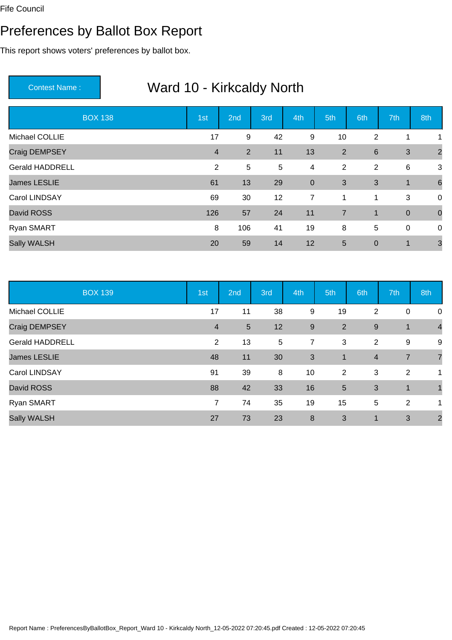#### Preferences by Ballot Box Report

This report shows voters' preferences by ballot box.

| <b>BOX 138</b>         | 1st            | 2nd            | 3rd             | 4th            | 5th            | 6th              | 7th              | 8th             |
|------------------------|----------------|----------------|-----------------|----------------|----------------|------------------|------------------|-----------------|
| Michael COLLIE         | 17             | 9              | 42              | 9              | 10             | 2                | 1                | 1               |
| Craig DEMPSEY          | $\overline{4}$ | $\overline{2}$ | 11              | 13             | 2              | $6\phantom{1}$   | 3                | $\overline{2}$  |
| <b>Gerald HADDRELL</b> | 2              | 5              | $5\phantom{.0}$ | $\overline{4}$ | $\overline{2}$ | $\overline{2}$   | 6                | 3               |
| <b>James LESLIE</b>    | 61             | 13             | 29              | $\mathbf 0$    | 3              | 3                | $\mathbf{1}$     | $6\phantom{1}6$ |
| Carol LINDSAY          | 69             | 30             | 12              | $\overline{7}$ | 1              | 1                | 3                | $\overline{0}$  |
| David ROSS             | 126            | 57             | 24              | 11             | $\overline{7}$ | $\overline{1}$   | $\boldsymbol{0}$ | $\overline{0}$  |
| Ryan SMART             | 8              | 106            | 41              | 19             | 8              | 5                | $\mathbf 0$      | $\mathbf 0$     |
| <b>Sally WALSH</b>     | 20             | 59             | 14              | 12             | 5              | $\boldsymbol{0}$ | $\mathbf 1$      | 3               |

|                        | <b>BOX 139</b> | 1st            | 2nd             | 3rd | 4th              | 5th            | 6th            | 7th            | 8th            |
|------------------------|----------------|----------------|-----------------|-----|------------------|----------------|----------------|----------------|----------------|
| Michael COLLIE         |                | 17             | 11              | 38  | 9                | 19             | 2              | $\mathbf 0$    | 0              |
| Craig DEMPSEY          |                | $\overline{4}$ | $5\phantom{.0}$ | 12  | 9                | 2              | 9              | 1              | $\overline{4}$ |
| <b>Gerald HADDRELL</b> |                | 2              | 13              | 5   | 7                | 3              | $\overline{2}$ | 9              | 9              |
| <b>James LESLIE</b>    |                | 48             | 11              | 30  | 3                | $\mathbf{1}$   | $\overline{4}$ | $\overline{7}$ | $\overline{7}$ |
| Carol LINDSAY          |                | 91             | 39              | 8   | 10               | $\overline{2}$ | 3              | 2              | 1              |
| David ROSS             |                | 88             | 42              | 33  | 16               | $5\phantom{1}$ | 3              | $\overline{1}$ |                |
| Ryan SMART             |                | $\overline{7}$ | 74              | 35  | 19               | 15             | 5              | $\overline{2}$ | 1              |
| <b>Sally WALSH</b>     |                | 27             | 73              | 23  | $\boldsymbol{8}$ | 3              | $\mathbf 1$    | 3              | $\overline{2}$ |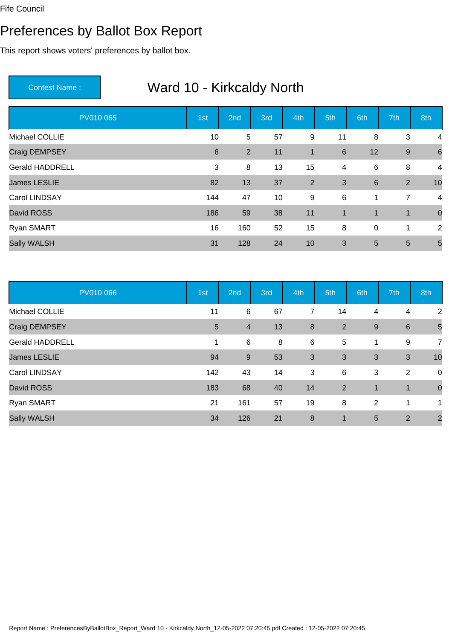#### Preferences by Ballot Box Report

This report shows voters' preferences by ballot box.

| PV010 065              | 1st | 2nd | 3rd | 4th         | 5th             | 6th             | 7th            | 8th                     |
|------------------------|-----|-----|-----|-------------|-----------------|-----------------|----------------|-------------------------|
| Michael COLLIE         | 10  | 5   | 57  | 9           | 11              | 8               | 3              | 4                       |
| Craig DEMPSEY          | 6   | 2   | 11  | $\mathbf 1$ | $6\phantom{1}6$ | 12              | $9$            | 6                       |
| <b>Gerald HADDRELL</b> | 3   | 8   | 13  | 15          | $\overline{4}$  | 6               | 8              | $\overline{4}$          |
| <b>James LESLIE</b>    | 82  | 13  | 37  | 2           | 3               | $6\phantom{1}6$ | 2              | 10                      |
| <b>Carol LINDSAY</b>   | 144 | 47  | 10  | 9           | 6               | $\mathbf{1}$    | $\overline{7}$ | $\overline{\mathbf{4}}$ |
| David ROSS             | 186 | 59  | 38  | 11          | $\overline{1}$  | $\mathbf{1}$    | $\mathbf 1$    | $\overline{0}$          |
| Ryan SMART             | 16  | 160 | 52  | 15          | 8               | $\mathbf 0$     | 1              | 2                       |
| <b>Sally WALSH</b>     | 31  | 128 | 24  | 10          | 3               | 5               | 5              | 5                       |

| PV010 066              | 1st             | 2nd              | 3rd | 4th | 5th                     | 6th          | 7th            | 8th            |
|------------------------|-----------------|------------------|-----|-----|-------------------------|--------------|----------------|----------------|
| Michael COLLIE         | 11              | 6                | 67  | 7   | 14                      | 4            | 4              | $\overline{2}$ |
| Craig DEMPSEY          | $5\phantom{.0}$ | $\overline{4}$   | 13  | 8   | 2                       | $9\,$        | 6              | 5              |
| <b>Gerald HADDRELL</b> | 1               | 6                | 8   | 6   | 5                       | 1            | 9              | $\overline{7}$ |
| <b>James LESLIE</b>    | 94              | $\boldsymbol{9}$ | 53  | 3   | 3                       | 3            | 3              | 10             |
| Carol LINDSAY          | 142             | 43               | 14  | 3   | 6                       | 3            | $\overline{2}$ | $\overline{0}$ |
| David ROSS             | 183             | 68               | 40  | 14  | 2                       | $\mathbf{1}$ | $\mathbf{1}$   | $\overline{0}$ |
| Ryan SMART             | 21              | 161              | 57  | 19  | 8                       | 2            | 1              | 1              |
| <b>Sally WALSH</b>     | 34              | 126              | 21  | 8   | $\overline{\mathbf{1}}$ | 5            | 2              | $\overline{2}$ |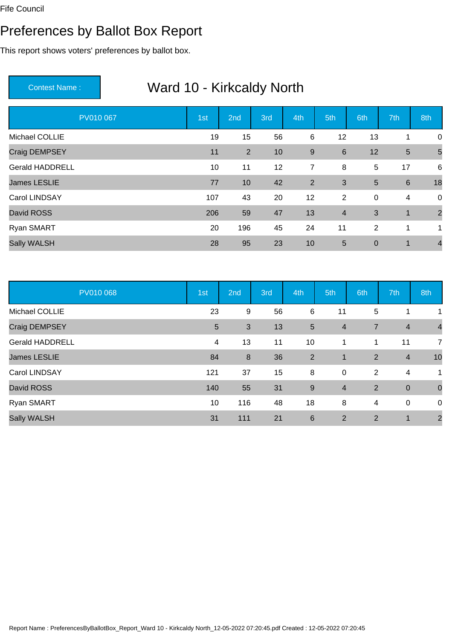#### Preferences by Ballot Box Report

This report shows voters' preferences by ballot box.

| PV010 067              | 1st | 2nd | 3rd | 4th   | 5th            | 6th              | 7th             | 8th            |
|------------------------|-----|-----|-----|-------|----------------|------------------|-----------------|----------------|
| Michael COLLIE         | 19  | 15  | 56  | 6     | 12             | 13               | 1               | $\mathbf 0$    |
| Craig DEMPSEY          | 11  | 2   | 10  | $9\,$ | $6\phantom{1}$ | 12               | $\overline{5}$  | 5              |
| <b>Gerald HADDRELL</b> | 10  | 11  | 12  | 7     | 8              | 5                | 17              | 6              |
| <b>James LESLIE</b>    | 77  | 10  | 42  | 2     | 3              | 5                | $6\phantom{1}6$ | 18             |
| Carol LINDSAY          | 107 | 43  | 20  | 12    | 2              | $\pmb{0}$        | $\overline{4}$  | $\mathbf 0$    |
| David ROSS             | 206 | 59  | 47  | 13    | $\overline{4}$ | 3                | $\mathbf{1}$    | $\overline{2}$ |
| Ryan SMART             | 20  | 196 | 45  | 24    | 11             | 2                | 1               | 1              |
| Sally WALSH            | 28  | 95  | 23  | 10    | 5              | $\boldsymbol{0}$ | $\mathbf{1}$    | $\overline{4}$ |

| PV010 068              | 1st             | 2nd              | 3rd | 4th              | 5th            | 6th            | 7th            | 8th            |
|------------------------|-----------------|------------------|-----|------------------|----------------|----------------|----------------|----------------|
| Michael COLLIE         | 23              | $9\,$            | 56  | 6                | 11             | 5              | 1              | 1              |
| Craig DEMPSEY          | $5\phantom{.0}$ | 3                | 13  | $5\phantom{.0}$  | $\overline{4}$ | $\overline{7}$ | $\overline{4}$ | $\overline{4}$ |
| <b>Gerald HADDRELL</b> | 4               | 13               | 11  | 10               | 1              | 1              | 11             | $\overline{7}$ |
| <b>James LESLIE</b>    | 84              | $\boldsymbol{8}$ | 36  | $\overline{2}$   | $\mathbf{1}$   | $\overline{2}$ | $\overline{4}$ | 10             |
| Carol LINDSAY          | 121             | 37               | 15  | 8                | $\mathbf 0$    | $\overline{2}$ | 4              | 1              |
| David ROSS             | 140             | 55               | 31  | $\boldsymbol{9}$ | $\overline{4}$ | $\overline{2}$ | $\mathbf 0$    | $\mathbf 0$    |
| Ryan SMART             | 10              | 116              | 48  | 18               | 8              | $\overline{4}$ | $\mathbf 0$    | 0              |
| <b>Sally WALSH</b>     | 31              | 111              | 21  | 6                | 2              | $\overline{2}$ | 1              | $\overline{2}$ |